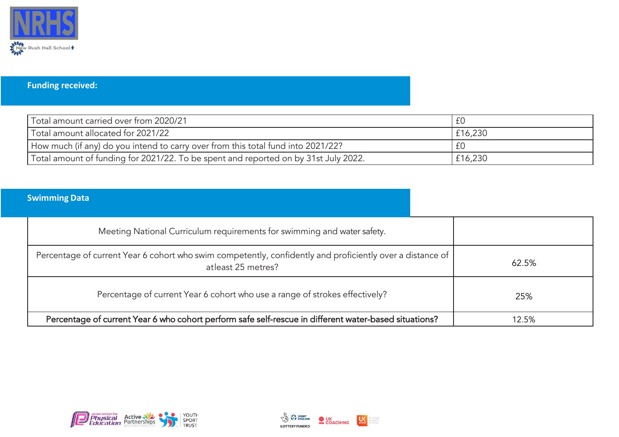

## **Funding received:**

| Total amount carried over from 2020/21                                              |         |
|-------------------------------------------------------------------------------------|---------|
| Total amount allocated for 2021/22                                                  | £16,230 |
| How much (if any) do you intend to carry over from this total fund into 2021/22?    |         |
| Total amount of funding for 2021/22. To be spent and reported on by 31st July 2022. | £16,230 |

## **Swimming Data**

| Meeting National Curriculum requirements for swimming and water safety.                                                         |       |
|---------------------------------------------------------------------------------------------------------------------------------|-------|
| Percentage of current Year 6 cohort who swim competently, confidently and proficiently over a distance of<br>atleast 25 metres? | 62.5% |
| Percentage of current Year 6 cohort who use a range of strokes effectively?                                                     | 25%   |
| Percentage of current Year 6 who cohort perform safe self-rescue in different water-based situations?                           | 12.5% |



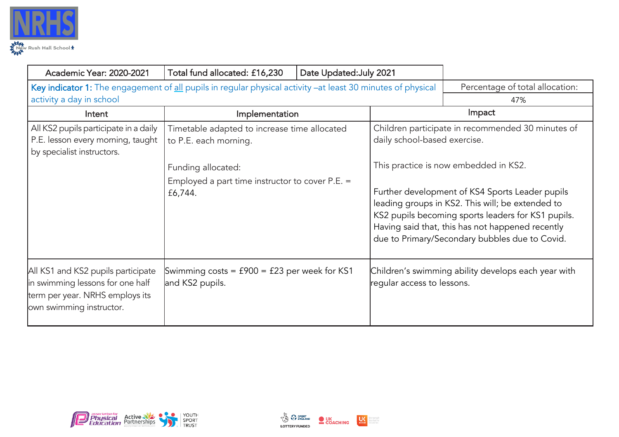

| <b>Academic Year: 2020-2021</b>                                                                                                         | Total fund allocated: £16,230                                                                                                                               | Date Updated: July 2021 |                              |                                                                                                                                                                                                                                                                                                                                                               |
|-----------------------------------------------------------------------------------------------------------------------------------------|-------------------------------------------------------------------------------------------------------------------------------------------------------------|-------------------------|------------------------------|---------------------------------------------------------------------------------------------------------------------------------------------------------------------------------------------------------------------------------------------------------------------------------------------------------------------------------------------------------------|
| Key indicator 1: The engagement of all pupils in regular physical activity -at least 30 minutes of physical<br>activity a day in school |                                                                                                                                                             |                         |                              | Percentage of total allocation:<br>47%                                                                                                                                                                                                                                                                                                                        |
| Intent                                                                                                                                  | Implementation                                                                                                                                              |                         |                              | Impact                                                                                                                                                                                                                                                                                                                                                        |
| All KS2 pupils participate in a daily<br>P.E. lesson every morning, taught<br>by specialist instructors.                                | Timetable adapted to increase time allocated<br>to P.E. each morning.<br>Funding allocated:<br>Employed a part time instructor to cover $P.E. =$<br>£6,744. |                         | daily school-based exercise. | Children participate in recommended 30 minutes of<br>This practice is now embedded in KS2.<br>Further development of KS4 Sports Leader pupils<br>leading groups in KS2. This will; be extended to<br>KS2 pupils becoming sports leaders for KS1 pupils.<br>Having said that, this has not happened recently<br>due to Primary/Secondary bubbles due to Covid. |
| All KS1 and KS2 pupils participate<br>in swimming lessons for one half<br>term per year. NRHS employs its<br>own swimming instructor.   | Swimming costs = $f900 = f23$ per week for KS1<br>and KS2 pupils.                                                                                           |                         | regular access to lessons.   | Children's swimming ability develops each year with                                                                                                                                                                                                                                                                                                           |





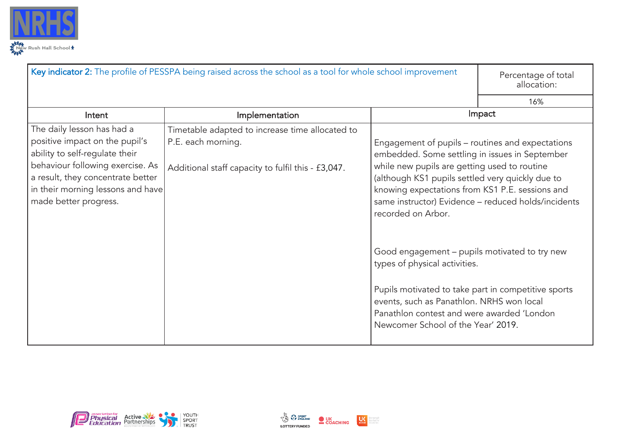

|                                                                                                                                                                                                                                       | Key indicator 2: The profile of PESSPA being raised across the school as a tool for whole school improvement                |                                                                                                                                                                                                                                                                                                                                                                                                                                                                                                                                                                                                                  | Percentage of total<br>allocation: |
|---------------------------------------------------------------------------------------------------------------------------------------------------------------------------------------------------------------------------------------|-----------------------------------------------------------------------------------------------------------------------------|------------------------------------------------------------------------------------------------------------------------------------------------------------------------------------------------------------------------------------------------------------------------------------------------------------------------------------------------------------------------------------------------------------------------------------------------------------------------------------------------------------------------------------------------------------------------------------------------------------------|------------------------------------|
|                                                                                                                                                                                                                                       |                                                                                                                             |                                                                                                                                                                                                                                                                                                                                                                                                                                                                                                                                                                                                                  | 16%                                |
| Intent                                                                                                                                                                                                                                | Implementation                                                                                                              |                                                                                                                                                                                                                                                                                                                                                                                                                                                                                                                                                                                                                  | Impact                             |
| The daily lesson has had a<br>positive impact on the pupil's<br>ability to self-regulate their<br>behaviour following exercise. As<br>a result, they concentrate better<br>in their morning lessons and have<br>made better progress. | Timetable adapted to increase time allocated to<br>P.E. each morning.<br>Additional staff capacity to fulfil this - £3,047. | Engagement of pupils - routines and expectations<br>embedded. Some settling in issues in September<br>while new pupils are getting used to routine<br>(although KS1 pupils settled very quickly due to<br>knowing expectations from KS1 P.E. sessions and<br>same instructor) Evidence - reduced holds/incidents<br>recorded on Arbor.<br>Good engagement – pupils motivated to try new<br>types of physical activities.<br>Pupils motivated to take part in competitive sports<br>events, such as Panathlon. NRHS won local<br>Panathlon contest and were awarded 'London<br>Newcomer School of the Year' 2019. |                                    |



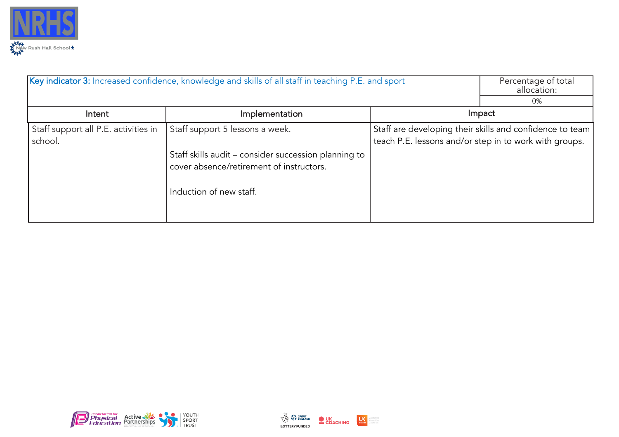

|                                                 | Key indicator 3: Increased confidence, knowledge and skills of all staff in teaching P.E. and sport                         |                                                        | Percentage of total<br>allocation:                       |
|-------------------------------------------------|-----------------------------------------------------------------------------------------------------------------------------|--------------------------------------------------------|----------------------------------------------------------|
|                                                 |                                                                                                                             |                                                        | 0%                                                       |
| Intent                                          | Implementation                                                                                                              |                                                        | Impact                                                   |
| Staff support all P.E. activities in<br>school. | Staff support 5 lessons a week.                                                                                             | teach P.E. lessons and/or step in to work with groups. | Staff are developing their skills and confidence to team |
|                                                 | Staff skills audit – consider succession planning to<br>cover absence/retirement of instructors.<br>Induction of new staff. |                                                        |                                                          |
|                                                 |                                                                                                                             |                                                        |                                                          |



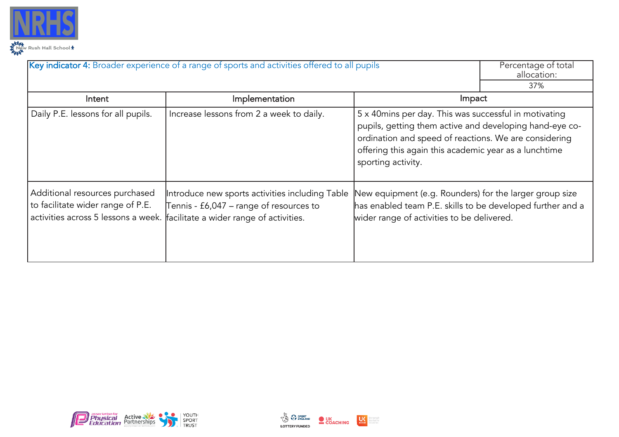

|                                                                     | Key indicator 4: Broader experience of a range of sports and activities offered to all pupils                                                                             |                                                                                                                                                                                                                                                          | Percentage of total<br>allocation: |
|---------------------------------------------------------------------|---------------------------------------------------------------------------------------------------------------------------------------------------------------------------|----------------------------------------------------------------------------------------------------------------------------------------------------------------------------------------------------------------------------------------------------------|------------------------------------|
|                                                                     |                                                                                                                                                                           |                                                                                                                                                                                                                                                          | 37%                                |
| Intent                                                              | Implementation                                                                                                                                                            | Impact                                                                                                                                                                                                                                                   |                                    |
| Daily P.E. lessons for all pupils.                                  | Increase lessons from 2 a week to daily.                                                                                                                                  | 5 x 40mins per day. This was successful in motivating<br>pupils, getting them active and developing hand-eye co-<br>ordination and speed of reactions. We are considering<br>offering this again this academic year as a lunchtime<br>sporting activity. |                                    |
| Additional resources purchased<br>to facilitate wider range of P.E. | Introduce new sports activities including Table<br>Tennis - £6,047 – range of resources to<br>activities across 5 lessons a week. facilitate a wider range of activities. | New equipment (e.g. Rounders) for the larger group size<br>has enabled team P.E. skills to be developed further and a<br>wider range of activities to be delivered.                                                                                      |                                    |



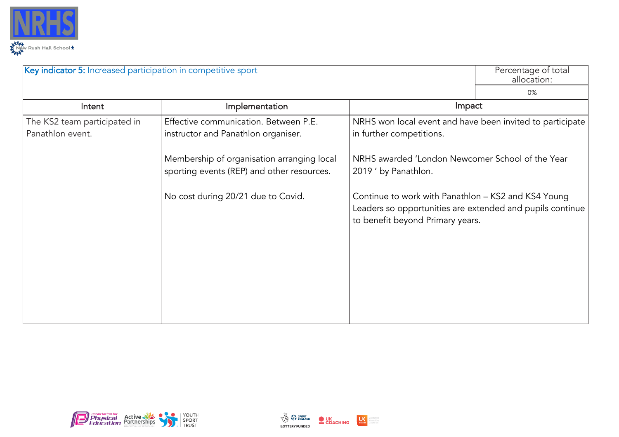

| Key indicator 5: Increased participation in competitive sport |                                                                                          |                                                                                                                                                      | Percentage of total<br>allocation: |
|---------------------------------------------------------------|------------------------------------------------------------------------------------------|------------------------------------------------------------------------------------------------------------------------------------------------------|------------------------------------|
|                                                               |                                                                                          |                                                                                                                                                      | 0%                                 |
| Intent                                                        | Implementation                                                                           | Impact                                                                                                                                               |                                    |
| The KS2 team participated in<br>Panathlon event.              | Effective communication. Between P.E.<br>instructor and Panathlon organiser.             | NRHS won local event and have been invited to participate<br>in further competitions.                                                                |                                    |
|                                                               | Membership of organisation arranging local<br>sporting events (REP) and other resources. | NRHS awarded 'London Newcomer School of the Year<br>2019 ' by Panathlon.                                                                             |                                    |
|                                                               | No cost during 20/21 due to Covid.                                                       | Continue to work with Panathlon - KS2 and KS4 Young<br>Leaders so opportunities are extended and pupils continue<br>to benefit beyond Primary years. |                                    |
|                                                               |                                                                                          |                                                                                                                                                      |                                    |
|                                                               |                                                                                          |                                                                                                                                                      |                                    |